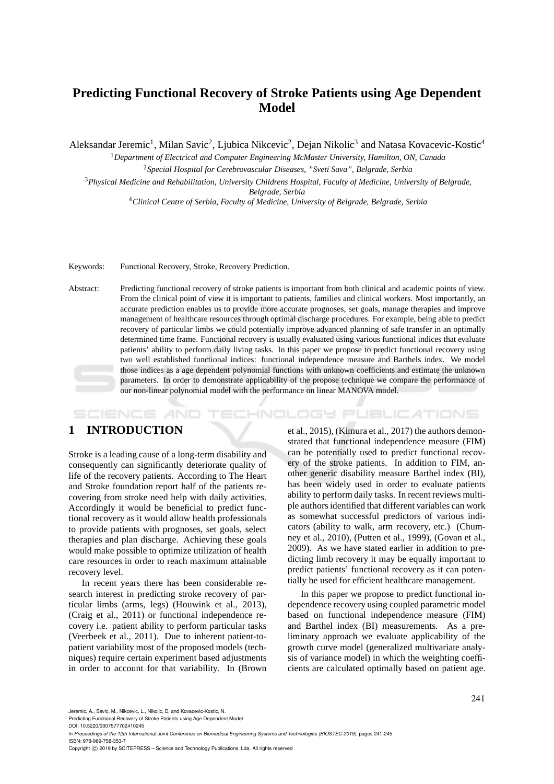# **Predicting Functional Recovery of Stroke Patients using Age Dependent Model**

Aleksandar Jeremic<sup>1</sup>, Milan Savic<sup>2</sup>, Ljubica Nikcevic<sup>2</sup>, Dejan Nikolic<sup>3</sup> and Natasa Kovacevic-Kostic<sup>4</sup>

<sup>1</sup>*Department of Electrical and Computer Engineering McMaster University, Hamilton, ON, Canada* <sup>2</sup>*Special Hospital for Cerebrovascular Diseases, "Sveti Sava", Belgrade, Serbia*

<sup>3</sup>*Physical Medicine and Rehabilitation, University Childrens Hospital, Faculty of Medicine, University of Belgrade, Belgrade, Serbia*

<sup>4</sup>*Clinical Centre of Serbia, Faculty of Medicine, University of Belgrade, Belgrade, Serbia*

Keywords: Functional Recovery, Stroke, Recovery Prediction.

Abstract: Predicting functional recovery of stroke patients is important from both clinical and academic points of view. From the clinical point of view it is important to patients, families and clinical workers. Most importantly, an accurate prediction enables us to provide more accurate prognoses, set goals, manage therapies and improve management of healthcare resources through optimal discharge procedures. For example, being able to predict recovery of particular limbs we could potentially improve advanced planning of safe transfer in an optimally determined time frame. Functional recovery is usually evaluated using various functional indices that evaluate patients' ability to perform daily living tasks. In this paper we propose to predict functional recovery using two well established functional indices: functional independence measure and Barthels index. We model those indices as a age dependent polynomial functions with unknown coefficients and estimate the unknown parameters. In order to demonstrate applicability of the propose technique we compare the performance of our non-linear polynomial model with the performance on linear MANOVA model.

**SCIENCE AND** HNOLOGY PUBLICATIONS

# **1 INTRODUCTION**

Stroke is a leading cause of a long-term disability and consequently can significantly deteriorate quality of life of the recovery patients. According to The Heart and Stroke foundation report half of the patients recovering from stroke need help with daily activities. Accordingly it would be beneficial to predict functional recovery as it would allow health professionals to provide patients with prognoses, set goals, select therapies and plan discharge. Achieving these goals would make possible to optimize utilization of health care resources in order to reach maximum attainable recovery level.

In recent years there has been considerable research interest in predicting stroke recovery of particular limbs (arms, legs) (Houwink et al., 2013), (Craig et al., 2011) or functional independence recovery i.e. patient ability to perform particular tasks (Veerbeek et al., 2011). Due to inherent patient-topatient variability most of the proposed models (techniques) require certain experiment based adjustments in order to account for that variability. In (Brown

et al., 2015), (Kimura et al., 2017) the authors demonstrated that functional independence measure (FIM) can be potentially used to predict functional recovery of the stroke patients. In addition to FIM, another generic disability measure Barthel index (BI), has been widely used in order to evaluate patients ability to perform daily tasks. In recent reviews multiple authors identified that different variables can work as somewhat successful predictors of various indicators (ability to walk, arm recovery, etc.) (Chumney et al., 2010), (Putten et al., 1999), (Govan et al., 2009). As we have stated earlier in addition to predicting limb recovery it may be equally important to predict patients' functional recovery as it can potentially be used for efficient healthcare management.

In this paper we propose to predict functional independence recovery using coupled parametric model based on functional independence measure (FIM) and Barthel index (BI) measurements. As a preliminary approach we evaluate applicability of the growth curve model (generalized multivariate analysis of variance model) in which the weighting coefficients are calculated optimally based on patient age.

Jeremic, A., Savic, M., Nikcevic, L., Nikolic, D. and Kovacevic-Kostic, N.

Predicting Functional Recovery of Stroke Patients using Age Dependent Model.

In *Proceedings of the 12th International Joint Conference on Biomedical Engineering Systems and Technologies (BIOSTEC 2019)*, pages 241-245 ISBN: 978-989-758-353-7

Copyright © 2019 by SCITEPRESS - Science and Technology Publications, Lda. All rights reserved

DOI: 10.5220/0007577702410245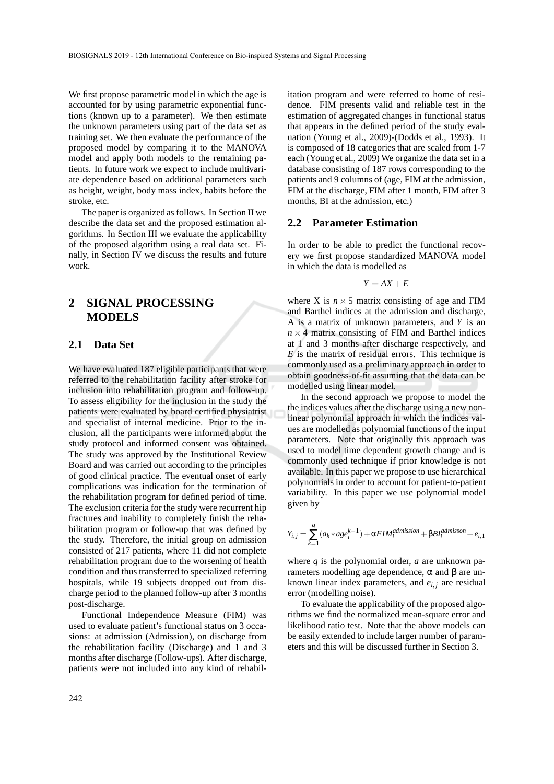We first propose parametric model in which the age is accounted for by using parametric exponential functions (known up to a parameter). We then estimate the unknown parameters using part of the data set as training set. We then evaluate the performance of the proposed model by comparing it to the MANOVA model and apply both models to the remaining patients. In future work we expect to include multivariate dependence based on additional parameters such as height, weight, body mass index, habits before the stroke, etc.

The paper is organized as follows. In Section II we describe the data set and the proposed estimation algorithms. In Section III we evaluate the applicability of the proposed algorithm using a real data set. Finally, in Section IV we discuss the results and future work.

# **2 SIGNAL PROCESSING MODELS**

#### **2.1 Data Set**

We have evaluated 187 eligible participants that were referred to the rehabilitation facility after stroke for inclusion into rehabilitation program and follow-up. To assess eligibility for the inclusion in the study the patients were evaluated by board certified physiatrist and specialist of internal medicine. Prior to the inclusion, all the participants were informed about the study protocol and informed consent was obtained. The study was approved by the Institutional Review Board and was carried out according to the principles of good clinical practice. The eventual onset of early complications was indication for the termination of the rehabilitation program for defined period of time. The exclusion criteria for the study were recurrent hip fractures and inability to completely finish the rehabilitation program or follow-up that was defined by the study. Therefore, the initial group on admission consisted of 217 patients, where 11 did not complete rehabilitation program due to the worsening of health condition and thus transferred to specialized referring hospitals, while 19 subjects dropped out from discharge period to the planned follow-up after 3 months post-discharge.

Functional Independence Measure (FIM) was used to evaluate patient's functional status on 3 occasions: at admission (Admission), on discharge from the rehabilitation facility (Discharge) and 1 and 3 months after discharge (Follow-ups). After discharge, patients were not included into any kind of rehabilitation program and were referred to home of residence. FIM presents valid and reliable test in the estimation of aggregated changes in functional status that appears in the defined period of the study evaluation (Young et al., 2009)-(Dodds et al., 1993). It is composed of 18 categories that are scaled from 1-7 each (Young et al., 2009) We organize the data set in a database consisting of 187 rows corresponding to the patients and 9 columns of (age, FIM at the admission, FIM at the discharge, FIM after 1 month, FIM after 3 months, BI at the admission, etc.)

#### **2.2 Parameter Estimation**

In order to be able to predict the functional recovery we first propose standardized MANOVA model in which the data is modelled as

$$
Y = AX + E
$$

where X is  $n \times 5$  matrix consisting of age and FIM and Barthel indices at the admission and discharge, A is a matrix of unknown parameters, and *Y* is an  $n \times 4$  matrix consisting of FIM and Barthel indices at 1 and 3 months after discharge respectively, and *E* is the matrix of residual errors. This technique is commonly used as a preliminary approach in order to obtain goodness-of-fit assuming that the data can be modelled using linear model.

In the second approach we propose to model the the indices values after the discharge using a new nonlinear polynomial approach in which the indices values are modelled as polynomial functions of the input parameters. Note that originally this approach was used to model time dependent growth change and is commonly used technique if prior knowledge is not available. In this paper we propose to use hierarchical polynomials in order to account for patient-to-patient variability. In this paper we use polynomial model given by

$$
Y_{i,j} = \sum_{k=1}^{q} (a_k * age_i^{k-1}) + \alpha F I M_i^{admission} + \beta B I_i^{admission} + e_{i,1}
$$

where *q* is the polynomial order, *a* are unknown parameters modelling age dependence, α and β are unknown linear index parameters, and  $e_{i,j}$  are residual error (modelling noise).

To evaluate the applicability of the proposed algorithms we find the normalized mean-square error and likelihood ratio test. Note that the above models can be easily extended to include larger number of parameters and this will be discussed further in Section 3.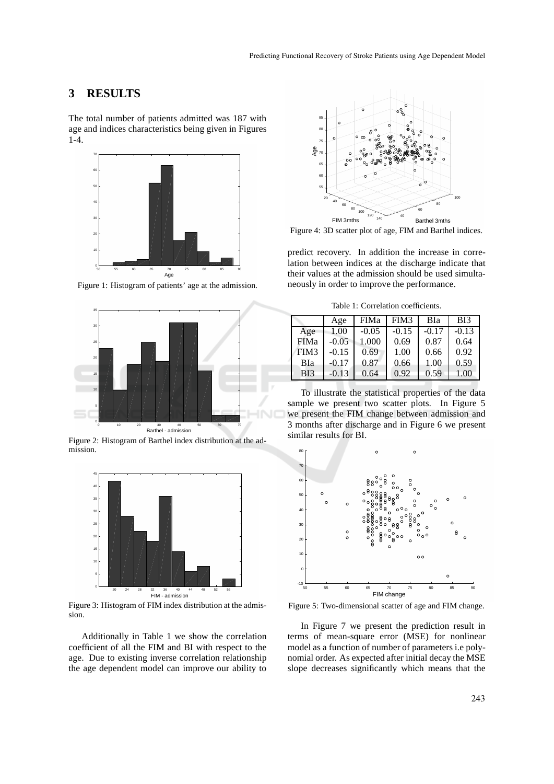### **3 RESULTS**

The total number of patients admitted was 187 with age and indices characteristics being given in Figures  $1-4.$ 



Figure 1: Histogram of patients' age at the admission.



Figure 2: Histogram of Barthel index distribution at the admission.



Figure 3: Histogram of FIM index distribution at the admission.

Additionally in Table 1 we show the correlation coefficient of all the FIM and BI with respect to the age. Due to existing inverse correlation relationship the age dependent model can improve our ability to



Figure 4: 3D scatter plot of age, FIM and Barthel indices.

predict recovery. In addition the increase in correlation between indices at the discharge indicate that their values at the admission should be used simultaneously in order to improve the performance.

Table 1: Correlation coefficients.

|                 | Age     | <b>FIMa</b> | FIM3    | BIa     | B <sub>I3</sub> |
|-----------------|---------|-------------|---------|---------|-----------------|
| Age             | 1.00    | $-0.05$     | $-0.15$ | $-0.17$ | $-0.13$         |
| <b>FIMa</b>     | $-0.05$ | 1.000       | 0.69    | 0.87    | 0.64            |
| FIM3            | $-0.15$ | 0.69        | 1.00    | 0.66    | 0.92            |
| BIa             | $-0.17$ | 0.87        | 0.66    | 1.00    | 0.59            |
| B <sub>13</sub> | $-0.13$ | 0.64        | 0.92    | 0.59    | 1.00            |

To illustrate the statistical properties of the data sample we present two scatter plots. In Figure 5 we present the FIM change between admission and 3 months after discharge and in Figure 6 we present similar results for BI.



Figure 5: Two-dimensional scatter of age and FIM change.

In Figure 7 we present the prediction result in terms of mean-square error (MSE) for nonlinear model as a function of number of parameters i.e polynomial order. As expected after initial decay the MSE slope decreases significantly which means that the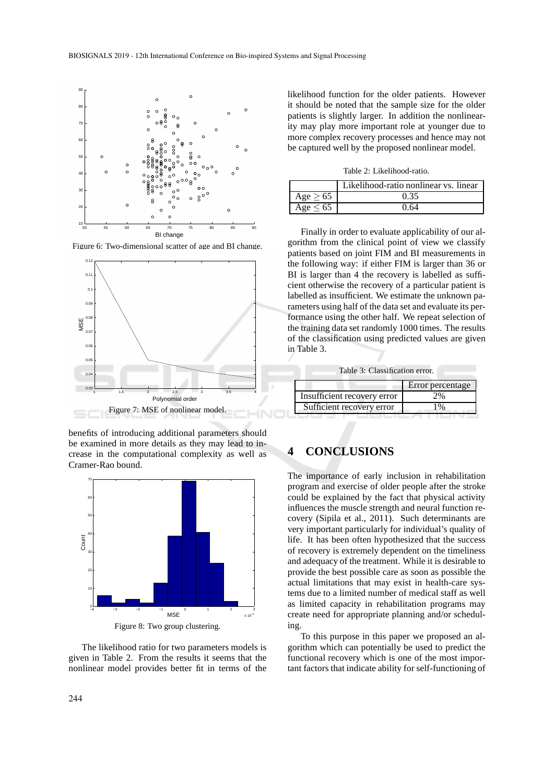

Figure 6: Two-dimensional scatter of age and BI change.



benefits of introducing additional parameters should be examined in more details as they may lead to increase in the computational complexity as well as Cramer-Rao bound.



The likelihood ratio for two parameters models is given in Table 2. From the results it seems that the nonlinear model provides better fit in terms of the likelihood function for the older patients. However it should be noted that the sample size for the older patients is slightly larger. In addition the nonlinearity may play more important role at younger due to more complex recovery processes and hence may not be captured well by the proposed nonlinear model.

Table 2: Likelihood-ratio.

|               | Likelihood-ratio nonlinear vs. linear |
|---------------|---------------------------------------|
| Age $\geq 65$ | 0.35                                  |
| Age $\leq 65$ | በ 64                                  |

Finally in order to evaluate applicability of our algorithm from the clinical point of view we classify patients based on joint FIM and BI measurements in the following way: if either FIM is larger than 36 or BI is larger than 4 the recovery is labelled as sufficient otherwise the recovery of a particular patient is labelled as insufficient. We estimate the unknown parameters using half of the data set and evaluate its performance using the other half. We repeat selection of the training data set randomly 1000 times. The results of the classification using predicted values are given in Table 3.

Table 3: Classification error.

|                             | Error percentage |
|-----------------------------|------------------|
| Insufficient recovery error | 2%               |
| Sufficient recovery error   | 1%               |

### **4 CONCLUSIONS**

The importance of early inclusion in rehabilitation program and exercise of older people after the stroke could be explained by the fact that physical activity influences the muscle strength and neural function recovery (Sipila et al., 2011). Such determinants are very important particularly for individual's quality of life. It has been often hypothesized that the success of recovery is extremely dependent on the timeliness and adequacy of the treatment. While it is desirable to provide the best possible care as soon as possible the actual limitations that may exist in health-care systems due to a limited number of medical staff as well as limited capacity in rehabilitation programs may create need for appropriate planning and/or scheduling.

To this purpose in this paper we proposed an algorithm which can potentially be used to predict the functional recovery which is one of the most important factors that indicate ability for self-functioning of